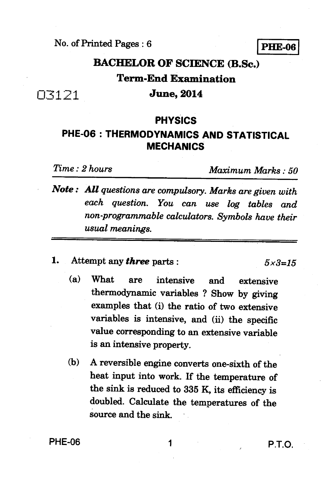**No. of Printed Pages : 6** 

**PHE-06** 

# **BACHELOR OF SCIENCE (B.Sc.) Term-End Examination June, 2014**

### **PHYSICS**

# **PHE-06 : THERMODYNAMICS AND STATISTICAL MECHANICS**

03121

*Time : 2 hours Maximum Marks : 50* 

- *Note : All questions are compulsory. Marks are given with each question. You can use log tables and non-programmable calculators. Symbols have their usual meanings.*
- **1.** Attempt any *three* parts :  $5 \times 3 = 15$

- **(a) What are intensive and extensive thermodynamic variables ? Show by giving examples that (i) the ratio of two extensive variables is intensive, and (ii) the specific value corresponding to an extensive variable is an intensive property.**
- **(b) A reversible engine converts one-sixth of the heat input into work. If the temperature of the sink is reduced to 335 K, its efficiency is doubled. Calculate the temperatures of the source and the sink.**

**PHE-06** 1 **P.T.O.**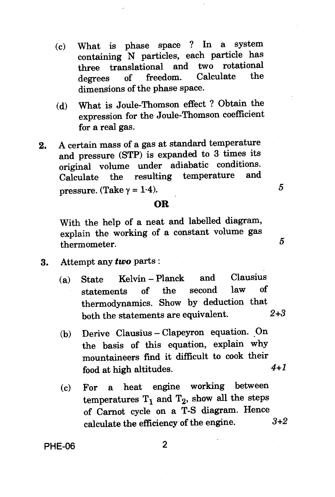- (c) What is phase space ? In a system containing N particles, each particle has three translational and two rotational<br>degrees of freedom. Calculate the degrees of freedom. dimensions of the phase space.
- (d) What is Joule-Thomson effect ? Obtain the expression for the Joule-Thomson coefficient for a real gas.
- **2.** A certain mass of a gas at standard temperature and pressure (STP) is expanded to 3 times its original volume under adiabatic conditions.<br>Coloulate the resulting temperature and  $C$ alculate the resulting temperature pressure. (Take  $\gamma = 1.4$ ).  $5$

## **OR**

With the help of a neat and labelled diagram, explain the working of a constant volume gas thermometer. 5

- 3. Attempt any *two* parts :
	- (a) State Kelvin Planck and Clausius<br>statements of the second law of statements of the second thermodynamics. Show by deduction that both the statements are equivalent. 2+3
	- (b) Derive Clausius Clapeyron equation. On the basis of this equation, explain why mountaineers find it difficult to cook their food at high altitudes.  $4+1$
	- (c) For a heat engine working between temperatures  $T_1$  and  $T_2$ , show all the steps of Carrot cycle on a T-S diagram. Hence calculate the efficiency of the engine. 3+2

**PHE-06** 2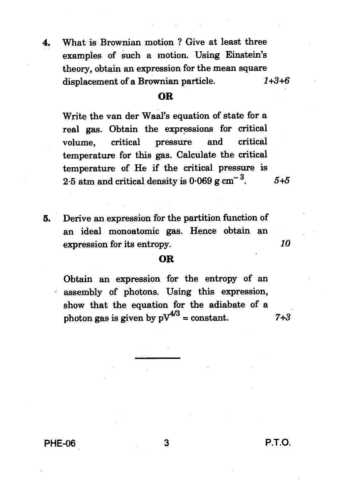**4. What is Brownian motion ? Give at least three examples of such a motion. Using Einstein's theory, obtain an expression for the mean square displacement of a Brownian particle.** *1+3+6* 

### **OR**

**Write the van der Waal's equation of state for a real gas. Obtain the expressions for critical volume, critical pressure and critical temperature for this gas. Calculate the critical temperature of He if the critical pressure is**  2.5 atm and critical density is  $0.069$  g cm<sup>-3</sup>.  $5+5$ 

**5. Derive an expression for the partition function of an ideal monoatomic gas. Hence obtain an expression for its entropy.** 

#### **OR**

**Obtain an expression for the entropy of an assembly of photons. Using this expression, show that the equation for the adiabate of a**  photon gas is given by  $pV^{4/3}$  = constant. **7+3** 

**PHE-06 3 P.T.O.** 

*10*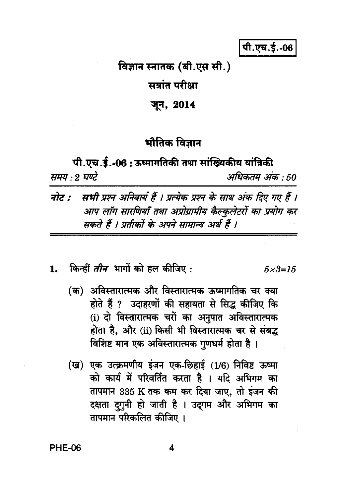पी.एच.ई.-06

विज्ञान स्नातक (बी.एस सी.)

सत्रांत परीक्षा

जून, 2014

# भौतिक विज्ञान

पी.एच.ई.-06: ऊष्मागतिकी तथा सांख्यिकीय यांत्रिकी समय : २ घण्टे अधिकतम अंक : 50

- सभी प्रश्न अनिवार्य हैं । प्रत्येक प्रश्न के साथ अंक दिए गए हैं । नोट : आप लॉग सारणियाँ तथा अप्रोग्रामीय कैल्कुलेटरों का प्रयोग कर सकते हैं । प्रतीकों के अपने सामान्य अर्थ हैं ।
- किन्हीं *तीन* भागों को हल कीजिए : 1.  $5 \times 3 = 15$ 
	- (क) अविस्तारात्मक और विस्तारात्मक ऊष्मागतिक चर क्या होते हैं ? उदाहरणों की सहायता से सिद्ध कीजिए कि (i) दो विस्तारात्मक चरों का अनुपात अविस्तारात्मक होता है, और (ii) किसी भी विस्तारात्मक चर से संबद्ध विशिष्ट मान एक अविस्तारात्मक गुणधर्म होता है।
	- (ख) एक उत्क्रमणीय इंजन एक-छिहाई (1/6) निविष्ट ऊष्मा को कार्य में परिवर्तित करता है । यदि अभिगम का तापमान 335 K तक कम कर दिया जाए, तो इंजन की दक्षता दगुनी हो जाती है । उदगम और अभिगम का तापमान परिकलित कीजिए ।

**PHE-06**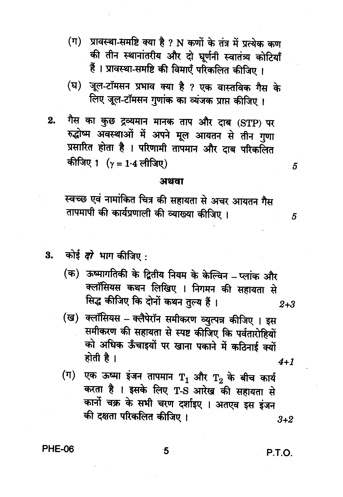- (ग) प्रावस्था-समष्टि क्या है ? N कणों के तंत्र में प्रत्येक कण की तीन स्थानांतरीय और दो घूर्णनी स्वातंत्र्य कोटियाँ हैं । प्रावस्था-समष्टि की विमाएँ परिकलित कीजिए ।
- (घ) जूल-टॉमसन प्रभाव क्या है ? एक वास्तविक गैस के लिए जूल-टॉमसन गुणांक का व्यंजक प्राप्त कीजिए।
- गैस का कुछ द्रव्यमान मानक ताप और दाब (STP) पर 2. रुद्धोष्म अवस्थाओं में अपने मूल आयतन से तीन गुणा प्रसारित होता है । परिणामी तापमान और दाब परिकलित कीजिए 1  $(\gamma = 1.4$  लीजिए)

#### अथवा

स्वच्छ एवं नामांकित चित्र की सहायता से अचर आयतन गैस तापमापी की कार्यप्रणाली की व्याख्या कीजिए ।

3. कोई दो भाग कीजिए:

- (क) ऊष्मागतिकी के द्वितीय नियम के केल्विन प्लांक और क्लॉसियस कथन लिखिए । निगमन की सहायता से सिद्ध कीजिए कि दोनों कथन तुल्य हैं।  $2 + 3$
- (ख) क्लॉसियस क्लैपेरॉन समीकरण व्युत्पन्न कीजिए । इस समीकरण की सहायता से स्पष्ट कीजिए कि पर्वतारोहियों को अधिक ऊँचाइयों पर खाना पकाने में कठिनाई क्यों होती है ।  $4+1$
- (ग) एक ऊष्मा इंजन तापमान  $\texttt{T}_1$  और  $\texttt{T}_2$  के बीच कार्य करता है । इसके लिए T-S आरेख की सहायता से कार्नो चक्र के सभी चरण दर्शाइए । अतएव इस इंजन की दक्षता परिकलित कीजिए।  $3 + 2$

**PHE-06** 

P.T.O.

5

5